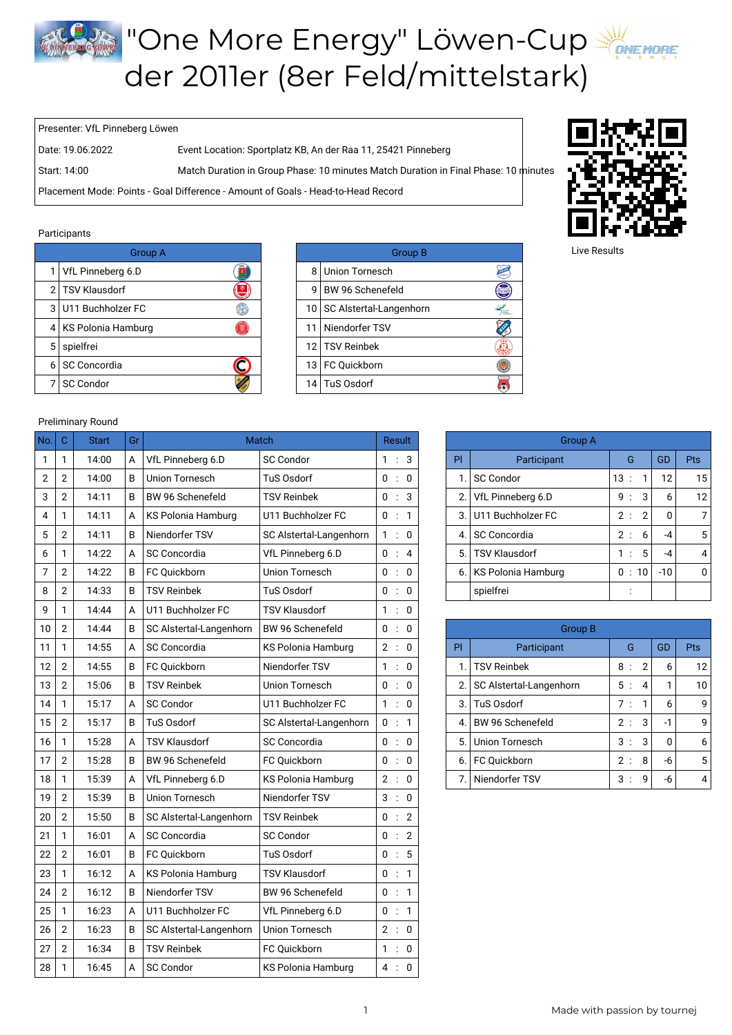## **The More Energy" Löwen-Cup** der 2011er (8er Feld/mittelstark)

Presenter: VfL Pinneberg Löwen

Date: 19.06.2022 Event Location: Sportplatz KB, An der Raa 11, 25421 Pinneberg

Start: 14:00 Match Duration in Group Phase: 10 minutes Match Duration in Final Phase: 10 minutes

Placement Mode: Points - Goal Difference - Amount of Goals - Head-to-Head Record

## Participants

|   | <b>Group A</b>         |                 | <b>Group B</b>               |
|---|------------------------|-----------------|------------------------------|
|   | VfL Pinneberg 6.D      | 8               | Union Tornesch               |
|   | 2 TSV Klausdorf        | g               | BW 96 Schenefeld             |
|   | 3 U11 Buchholzer FC    |                 | 10   SC Alstertal-Langenhorn |
|   | 4   KS Polonia Hamburg | 11              | Niendorfer TSV               |
| 5 | spielfrei              |                 | 12 TSV Reinbek               |
| 6 | SC Concordia           | 13 <sub>1</sub> | FC Quickborn                 |
|   | <b>SC Condor</b>       |                 | 14 TuS Osdorf                |

|                     | <b>Group B</b>   |                                                                                      |  |  |
|---------------------|------------------|--------------------------------------------------------------------------------------|--|--|
| Union Tornesch<br>8 |                  |                                                                                      |  |  |
|                     | BW 96 Schenefeld |                                                                                      |  |  |
|                     |                  | <b>Bernard</b>                                                                       |  |  |
| 11                  | Niendorfer TSV   |                                                                                      |  |  |
|                     |                  |                                                                                      |  |  |
|                     |                  |                                                                                      |  |  |
|                     |                  |                                                                                      |  |  |
|                     | 9                | 10   SC Alstertal-Langenhorn<br>12 TSV Reinbek<br>13   FC Quickborn<br>14 TuS Osdorf |  |  |



Live Results

## Preliminary Round

| No.            | $\mathbf C$      | <b>Start</b> | Gr |                         | <b>Match</b>              | <b>Result</b> |  |    | <b>Group A</b>    |                           |              |                |              |                |
|----------------|------------------|--------------|----|-------------------------|---------------------------|---------------|--|----|-------------------|---------------------------|--------------|----------------|--------------|----------------|
| $\mathbf{1}$   | 1                | 14:00        | A  | VfL Pinneberg 6.D       | <b>SC Condor</b>          | 1 : 3         |  |    | PI                | Participant               | G            |                | <b>GD</b>    | <b>Pts</b>     |
| $\overline{2}$ | $\overline{2}$   | 14:00        | B  | <b>Union Tornesch</b>   | TuS Osdorf                | 0 : 0         |  | 1. | <b>SC Condor</b>  | 13:                       | $\mathbf{1}$ | 12             | 15           |                |
| 3              | $\boldsymbol{2}$ | 14:11        | B  | BW 96 Schenefeld        | <b>TSV Reinbek</b>        | 0 : 3         |  | 2. | VfL Pinneberg 6.D | 9:                        | 3            | 6              | 12           |                |
| 4              | 1                | 14:11        | A  | KS Polonia Hamburg      | U11 Buchholzer FC         | 0 : 1         |  |    | 3.                | U11 Buchholzer FC         | 2:           | $\overline{2}$ | $\mathbf 0$  | $\overline{7}$ |
| 5              | $\boldsymbol{2}$ | 14:11        | B  | Niendorfer TSV          | SC Alstertal-Langenhorn   | 1:0           |  |    | 4.                | <b>SC Concordia</b>       | 2:           | 6              | -4           | 5              |
| 6              | $\mathbf{1}$     | 14:22        | A  | <b>SC Concordia</b>     | VfL Pinneberg 6.D         | 0 : 4         |  |    | 5.                | <b>TSV Klausdorf</b>      | 1:           | 5              | $-4$         | 4              |
| 7              | $\overline{2}$   | 14:22        | B  | FC Ouickborn            | <b>Union Tornesch</b>     | 0 : 0         |  |    | 6.                | <b>KS Polonia Hamburg</b> | 0:10         |                | $-10$        | C              |
| 8              | $\overline{2}$   | 14:33        | B  | <b>TSV Reinbek</b>      | TuS Osdorf                | 0 : 0         |  |    |                   | spielfrei                 |              |                |              |                |
| 9              | 1                | 14:44        | A  | U11 Buchholzer FC       | <b>TSV Klausdorf</b>      | 1:0           |  |    |                   |                           |              |                |              |                |
| 10             | $\overline{2}$   | 14:44        | В  | SC Alstertal-Langenhorn | BW 96 Schenefeld          | 0 : 0         |  |    |                   | <b>Group B</b>            |              |                |              |                |
| 11             | 1                | 14:55        | A  | SC Concordia            | KS Polonia Hamburg        | 2:0           |  |    | PI.               | Participant               | G            |                | GD           | <b>Pts</b>     |
| 12             | $\overline{2}$   | 14:55        | B  | FC Quickborn            | Niendorfer TSV            | 1 : 0         |  |    | $\mathbf 1$       | <b>TSV Reinbek</b>        | 8:           | $\overline{2}$ | 6            | 12             |
| 13             | $\overline{2}$   | 15:06        | B  | <b>TSV Reinbek</b>      | <b>Union Tornesch</b>     | 0 : 0         |  |    | 2.                | SC Alstertal-Langenhorn   | 5:           | 4              | $\mathbf{1}$ | 10             |
| 14             | 1                | 15:17        | A  | <b>SC Condor</b>        | U11 Buchholzer FC         | 1 : 0         |  |    | 3.                | TuS Osdorf                | 7:           | $\mathbf{1}$   | 6            | ç              |
| 15             | $\boldsymbol{2}$ | 15:17        | B  | TuS Osdorf              | SC Alstertal-Langenhorn   | 0 : 1         |  |    | 4.                | BW 96 Schenefeld          | 2:           | 3              | $-1$         | ç              |
| 16             | 1                | 15:28        | A  | <b>TSV Klausdorf</b>    | <b>SC Concordia</b>       | 0 : 0         |  |    | 5.                | <b>Union Tornesch</b>     | 3:           | 3              | $\Omega$     | $\epsilon$     |
| 17             | $\overline{2}$   | 15:28        | B  | BW 96 Schenefeld        | FC Ouickborn              | 0 : 0         |  |    | 6.                | FC Ouickborn              | 2:           | 8              | -6           | 5              |
| 18             | $\mathbf{1}$     | 15:39        | A  | VfL Pinneberg 6.D       | <b>KS Polonia Hamburg</b> | 2 : 0         |  |    | 7.                | Niendorfer TSV            | 3:           | 9              | $-6$         | 4              |
| 19             | $\overline{2}$   | 15:39        | B  | <b>Union Tornesch</b>   | Niendorfer TSV            | 3:0           |  |    |                   |                           |              |                |              |                |
| 20             | $\overline{2}$   | 15:50        | B  | SC Alstertal-Langenhorn | <b>TSV Reinbek</b>        | 0:2           |  |    |                   |                           |              |                |              |                |
| 21             | 1                | 16:01        | A  | <b>SC Concordia</b>     | <b>SC Condor</b>          | 0:2           |  |    |                   |                           |              |                |              |                |
| 22             | $\overline{2}$   | 16:01        | B  | FC Quickborn            | TuS Osdorf                | 0:5           |  |    |                   |                           |              |                |              |                |
| 23             | 1                | 16:12        | A  | KS Polonia Hamburg      | <b>TSV Klausdorf</b>      | 0 : 1         |  |    |                   |                           |              |                |              |                |
| 24             | $\overline{2}$   | 16:12        | B  | Niendorfer TSV          | BW 96 Schenefeld          | 0 : 1         |  |    |                   |                           |              |                |              |                |
| 25             | 1                | 16:23        | A  | U11 Buchholzer FC       | VfL Pinneberg 6.D         | 0 : 1         |  |    |                   |                           |              |                |              |                |
| 26             | $\sqrt{2}$       | 16:23        | B  | SC Alstertal-Langenhorn | <b>Union Tornesch</b>     | 2 : 0         |  |    |                   |                           |              |                |              |                |
| 27             | $\overline{2}$   | 16:34        | B  | <b>TSV Reinbek</b>      | FC Ouickborn              | 1:0           |  |    |                   |                           |              |                |              |                |
| 28             | 1                | 16:45        | A  | <b>SC Condor</b>        | KS Polonia Hamburg        | 4:0           |  |    |                   |                           |              |                |              |                |

|    | Group A                |     |         |      |       |    |  |  |
|----|------------------------|-----|---------|------|-------|----|--|--|
| PI | GD<br>Participant<br>G |     |         |      |       |    |  |  |
| 1. | <b>SC Condor</b>       | 13: |         | 1    | 12    | 15 |  |  |
| 2. | VfL Pinneberg 6.D      | 9   | $\cdot$ | 3    | 6     | 12 |  |  |
| 3. | U11 Buchholzer FC      | 2:  |         | 2    | 0     | 7  |  |  |
| 4. | <b>SC Concordia</b>    | 2:  |         | 6    | -4    | 5  |  |  |
| 5. | <b>TSV Klausdorf</b>   | 1:  |         | 5    | $-4$  | 4  |  |  |
| 6. | KS Polonia Hamburg     | 0   |         | : 10 | $-10$ | U  |  |  |
|    | spielfrei              |     |         |      |       |    |  |  |

|    | Group B                 |    |                |      |     |  |  |  |
|----|-------------------------|----|----------------|------|-----|--|--|--|
| PI | Participant             | G  |                | GD   | Pts |  |  |  |
| 1. | <b>TSV Reinbek</b>      | 8: | $\overline{2}$ | 6    | 12  |  |  |  |
| 2. | SC Alstertal-Langenhorn | 5: | 4              |      | 10  |  |  |  |
| 3. | <b>TuS Osdorf</b>       | 7: | 1              | 6    | 9   |  |  |  |
| 4. | BW 96 Schenefeld        | 2: | 3              | $-1$ | q   |  |  |  |
| 5. | <b>Union Tornesch</b>   | 3: | 3              | ŋ    | 6   |  |  |  |
| 6. | FC Quickborn            | 2: | 8              | -6   | 5   |  |  |  |
| 7. | Niendorfer TSV          | 3  | g              | -6   |     |  |  |  |